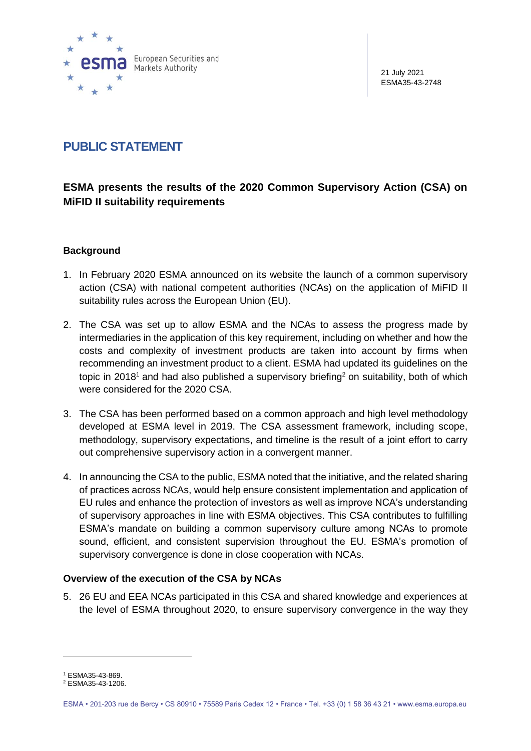

21 July 2021 ESMA35-43-2748

# **PUBLIC STATEMENT**

# **ESMA presents the results of the 2020 Common Supervisory Action (CSA) on MiFID II suitability requirements**

# **Background**

- 1. In February 2020 ESMA announced on its website the launch of a common supervisory action (CSA) with national competent authorities (NCAs) on the application of MiFID II suitability rules across the European Union (EU).
- 2. The CSA was set up to allow ESMA and the NCAs to assess the progress made by intermediaries in the application of this key requirement, including on whether and how the costs and complexity of investment products are taken into account by firms when recommending an investment product to a client. ESMA had updated its guidelines on the topic in 2018<sup>1</sup> and had also published a supervisory briefing<sup>2</sup> on suitability, both of which were considered for the 2020 CSA.
- 3. The CSA has been performed based on a common approach and high level methodology developed at ESMA level in 2019. The CSA assessment framework, including scope, methodology, supervisory expectations, and timeline is the result of a joint effort to carry out comprehensive supervisory action in a convergent manner.
- 4. In announcing the CSA to the public, ESMA noted that the initiative, and the related sharing of practices across NCAs, would help ensure consistent implementation and application of EU rules and enhance the protection of investors as well as improve NCA's understanding of supervisory approaches in line with ESMA objectives. This CSA contributes to fulfilling ESMA's mandate on building a common supervisory culture among NCAs to promote sound, efficient, and consistent supervision throughout the EU. ESMA's promotion of supervisory convergence is done in close cooperation with NCAs.

#### **Overview of the execution of the CSA by NCAs**

5. 26 EU and EEA NCAs participated in this CSA and shared knowledge and experiences at the level of ESMA throughout 2020, to ensure supervisory convergence in the way they

<sup>1</sup> ESMA35-43-869.

<sup>2</sup> ESMA35-43-1206.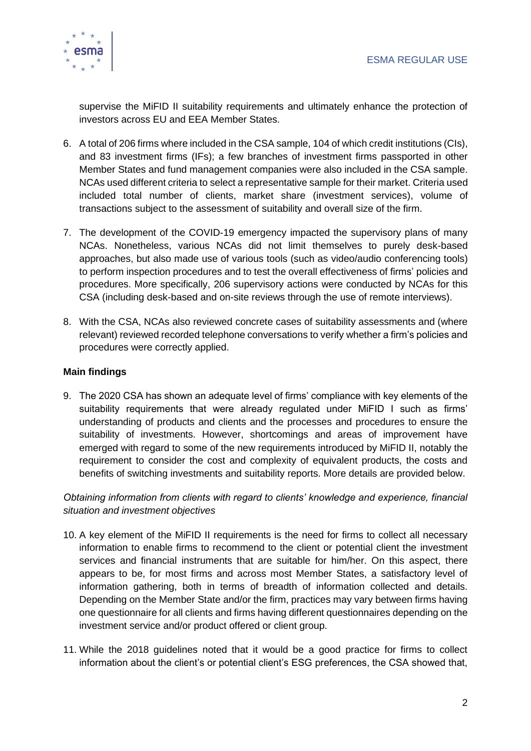

supervise the MiFID II suitability requirements and ultimately enhance the protection of investors across EU and EEA Member States.

- 6. A total of 206 firms where included in the CSA sample, 104 of which credit institutions (CIs), and 83 investment firms (IFs); a few branches of investment firms passported in other Member States and fund management companies were also included in the CSA sample. NCAs used different criteria to select a representative sample for their market. Criteria used included total number of clients, market share (investment services), volume of transactions subject to the assessment of suitability and overall size of the firm.
- 7. The development of the COVID-19 emergency impacted the supervisory plans of many NCAs. Nonetheless, various NCAs did not limit themselves to purely desk-based approaches, but also made use of various tools (such as video/audio conferencing tools) to perform inspection procedures and to test the overall effectiveness of firms' policies and procedures. More specifically, 206 supervisory actions were conducted by NCAs for this CSA (including desk-based and on-site reviews through the use of remote interviews).
- 8. With the CSA, NCAs also reviewed concrete cases of suitability assessments and (where relevant) reviewed recorded telephone conversations to verify whether a firm's policies and procedures were correctly applied.

## **Main findings**

9. The 2020 CSA has shown an adequate level of firms' compliance with key elements of the suitability requirements that were already regulated under MiFID I such as firms' understanding of products and clients and the processes and procedures to ensure the suitability of investments. However, shortcomings and areas of improvement have emerged with regard to some of the new requirements introduced by MiFID II, notably the requirement to consider the cost and complexity of equivalent products, the costs and benefits of switching investments and suitability reports. More details are provided below.

*Obtaining information from clients with regard to clients' knowledge and experience, financial situation and investment objectives*

- 10. A key element of the MiFID II requirements is the need for firms to collect all necessary information to enable firms to recommend to the client or potential client the investment services and financial instruments that are suitable for him/her. On this aspect, there appears to be, for most firms and across most Member States, a satisfactory level of information gathering, both in terms of breadth of information collected and details. Depending on the Member State and/or the firm, practices may vary between firms having one questionnaire for all clients and firms having different questionnaires depending on the investment service and/or product offered or client group.
- 11. While the 2018 guidelines noted that it would be a good practice for firms to collect information about the client's or potential client's ESG preferences, the CSA showed that,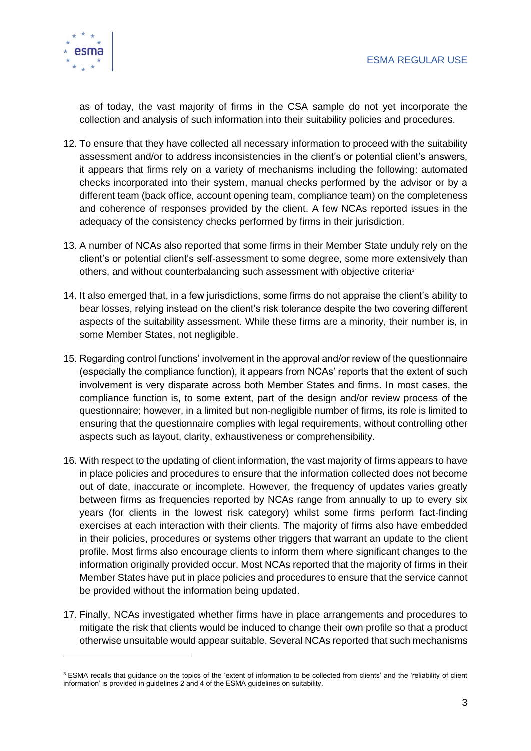

as of today, the vast majority of firms in the CSA sample do not yet incorporate the collection and analysis of such information into their suitability policies and procedures.

- 12. To ensure that they have collected all necessary information to proceed with the suitability assessment and/or to address inconsistencies in the client's or potential client's answers, it appears that firms rely on a variety of mechanisms including the following: automated checks incorporated into their system, manual checks performed by the advisor or by a different team (back office, account opening team, compliance team) on the completeness and coherence of responses provided by the client. A few NCAs reported issues in the adequacy of the consistency checks performed by firms in their jurisdiction.
- 13. A number of NCAs also reported that some firms in their Member State unduly rely on the client's or potential client's self-assessment to some degree, some more extensively than others, and without counterbalancing such assessment with objective criteria<sup>3</sup>
- 14. It also emerged that, in a few jurisdictions, some firms do not appraise the client's ability to bear losses, relying instead on the client's risk tolerance despite the two covering different aspects of the suitability assessment. While these firms are a minority, their number is, in some Member States, not negligible.
- 15. Regarding control functions' involvement in the approval and/or review of the questionnaire (especially the compliance function), it appears from NCAs' reports that the extent of such involvement is very disparate across both Member States and firms. In most cases, the compliance function is, to some extent, part of the design and/or review process of the questionnaire; however, in a limited but non-negligible number of firms, its role is limited to ensuring that the questionnaire complies with legal requirements, without controlling other aspects such as layout, clarity, exhaustiveness or comprehensibility.
- 16. With respect to the updating of client information, the vast majority of firms appears to have in place policies and procedures to ensure that the information collected does not become out of date, inaccurate or incomplete. However, the frequency of updates varies greatly between firms as frequencies reported by NCAs range from annually to up to every six years (for clients in the lowest risk category) whilst some firms perform fact-finding exercises at each interaction with their clients. The majority of firms also have embedded in their policies, procedures or systems other triggers that warrant an update to the client profile. Most firms also encourage clients to inform them where significant changes to the information originally provided occur. Most NCAs reported that the majority of firms in their Member States have put in place policies and procedures to ensure that the service cannot be provided without the information being updated.
- 17. Finally, NCAs investigated whether firms have in place arrangements and procedures to mitigate the risk that clients would be induced to change their own profile so that a product otherwise unsuitable would appear suitable. Several NCAs reported that such mechanisms

<sup>&</sup>lt;sup>3</sup> ESMA recalls that guidance on the topics of the 'extent of information to be collected from clients' and the 'reliability of client information' is provided in guidelines 2 and 4 of the ESMA guidelines on suitability.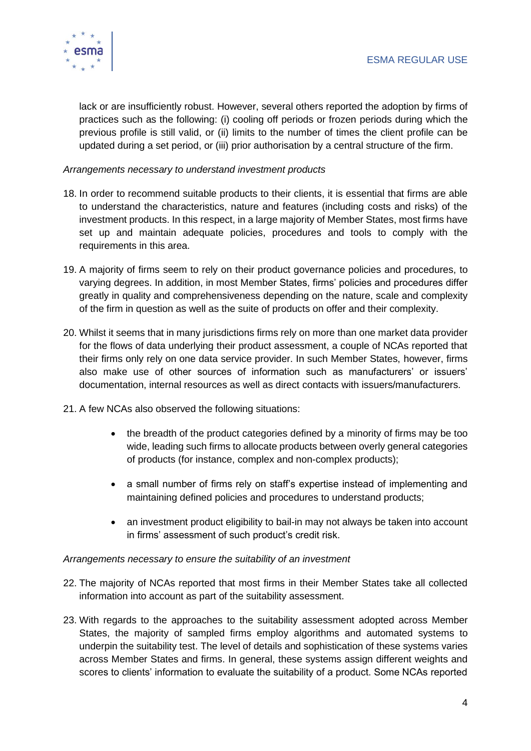

lack or are insufficiently robust. However, several others reported the adoption by firms of practices such as the following: (i) cooling off periods or frozen periods during which the previous profile is still valid, or (ii) limits to the number of times the client profile can be updated during a set period, or (iii) prior authorisation by a central structure of the firm.

*Arrangements necessary to understand investment products*

- 18. In order to recommend suitable products to their clients, it is essential that firms are able to understand the characteristics, nature and features (including costs and risks) of the investment products. In this respect, in a large majority of Member States, most firms have set up and maintain adequate policies, procedures and tools to comply with the requirements in this area.
- 19. A majority of firms seem to rely on their product governance policies and procedures, to varying degrees. In addition, in most Member States, firms' policies and procedures differ greatly in quality and comprehensiveness depending on the nature, scale and complexity of the firm in question as well as the suite of products on offer and their complexity.
- 20. Whilst it seems that in many jurisdictions firms rely on more than one market data provider for the flows of data underlying their product assessment, a couple of NCAs reported that their firms only rely on one data service provider. In such Member States, however, firms also make use of other sources of information such as manufacturers' or issuers' documentation, internal resources as well as direct contacts with issuers/manufacturers.
- 21. A few NCAs also observed the following situations:
	- the breadth of the product categories defined by a minority of firms may be too wide, leading such firms to allocate products between overly general categories of products (for instance, complex and non-complex products);
	- a small number of firms rely on staff's expertise instead of implementing and maintaining defined policies and procedures to understand products;
	- an investment product eligibility to bail-in may not always be taken into account in firms' assessment of such product's credit risk.

#### *Arrangements necessary to ensure the suitability of an investment*

- 22. The majority of NCAs reported that most firms in their Member States take all collected information into account as part of the suitability assessment.
- 23. With regards to the approaches to the suitability assessment adopted across Member States, the majority of sampled firms employ algorithms and automated systems to underpin the suitability test. The level of details and sophistication of these systems varies across Member States and firms. In general, these systems assign different weights and scores to clients' information to evaluate the suitability of a product. Some NCAs reported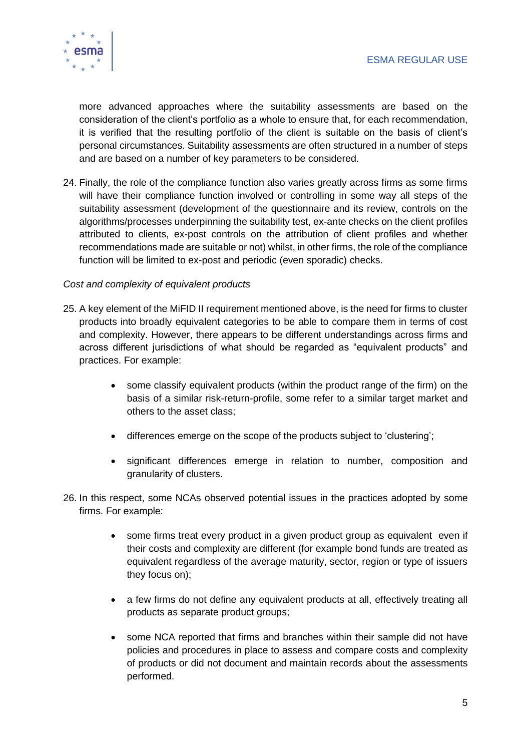

more advanced approaches where the suitability assessments are based on the consideration of the client's portfolio as a whole to ensure that, for each recommendation, it is verified that the resulting portfolio of the client is suitable on the basis of client's personal circumstances. Suitability assessments are often structured in a number of steps and are based on a number of key parameters to be considered.

24. Finally, the role of the compliance function also varies greatly across firms as some firms will have their compliance function involved or controlling in some way all steps of the suitability assessment (development of the questionnaire and its review, controls on the algorithms/processes underpinning the suitability test, ex-ante checks on the client profiles attributed to clients, ex-post controls on the attribution of client profiles and whether recommendations made are suitable or not) whilst, in other firms, the role of the compliance function will be limited to ex-post and periodic (even sporadic) checks.

#### *Cost and complexity of equivalent products*

- 25. A key element of the MiFID II requirement mentioned above, is the need for firms to cluster products into broadly equivalent categories to be able to compare them in terms of cost and complexity. However, there appears to be different understandings across firms and across different jurisdictions of what should be regarded as "equivalent products" and practices. For example:
	- some classify equivalent products (within the product range of the firm) on the basis of a similar risk-return-profile, some refer to a similar target market and others to the asset class;
	- differences emerge on the scope of the products subject to 'clustering';
	- significant differences emerge in relation to number, composition and granularity of clusters.
- 26. In this respect, some NCAs observed potential issues in the practices adopted by some firms. For example:
	- some firms treat every product in a given product group as equivalent even if their costs and complexity are different (for example bond funds are treated as equivalent regardless of the average maturity, sector, region or type of issuers they focus on);
	- a few firms do not define any equivalent products at all, effectively treating all products as separate product groups;
	- some NCA reported that firms and branches within their sample did not have policies and procedures in place to assess and compare costs and complexity of products or did not document and maintain records about the assessments performed.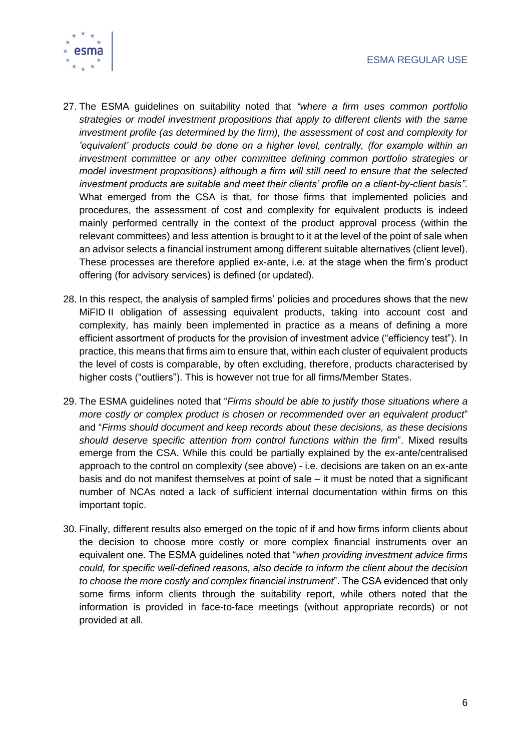

- 27. The ESMA guidelines on suitability noted that *"where a firm uses common portfolio strategies or model investment propositions that apply to different clients with the same investment profile (as determined by the firm), the assessment of cost and complexity for 'equivalent' products could be done on a higher level, centrally, (for example within an investment committee or any other committee defining common portfolio strategies or model investment propositions) although a firm will still need to ensure that the selected investment products are suitable and meet their clients' profile on a client-by-client basis"*. What emerged from the CSA is that, for those firms that implemented policies and procedures, the assessment of cost and complexity for equivalent products is indeed mainly performed centrally in the context of the product approval process (within the relevant committees) and less attention is brought to it at the level of the point of sale when an advisor selects a financial instrument among different suitable alternatives (client level). These processes are therefore applied ex-ante, i.e. at the stage when the firm's product offering (for advisory services) is defined (or updated).
- 28. In this respect, the analysis of sampled firms' policies and procedures shows that the new MiFID II obligation of assessing equivalent products, taking into account cost and complexity, has mainly been implemented in practice as a means of defining a more efficient assortment of products for the provision of investment advice ("efficiency test"). In practice, this means that firms aim to ensure that, within each cluster of equivalent products the level of costs is comparable, by often excluding, therefore, products characterised by higher costs ("outliers"). This is however not true for all firms/Member States.
- 29. The ESMA guidelines noted that "*Firms should be able to justify those situations where a more costly or complex product is chosen or recommended over an equivalent product*" and "*Firms should document and keep records about these decisions, as these decisions should deserve specific attention from control functions within the firm*". Mixed results emerge from the CSA. While this could be partially explained by the ex-ante/centralised approach to the control on complexity (see above) - i.e. decisions are taken on an ex-ante basis and do not manifest themselves at point of sale – it must be noted that a significant number of NCAs noted a lack of sufficient internal documentation within firms on this important topic.
- 30. Finally, different results also emerged on the topic of if and how firms inform clients about the decision to choose more costly or more complex financial instruments over an equivalent one. The ESMA guidelines noted that "*when providing investment advice firms could, for specific well-defined reasons, also decide to inform the client about the decision to choose the more costly and complex financial instrument*". The CSA evidenced that only some firms inform clients through the suitability report, while others noted that the information is provided in face-to-face meetings (without appropriate records) or not provided at all.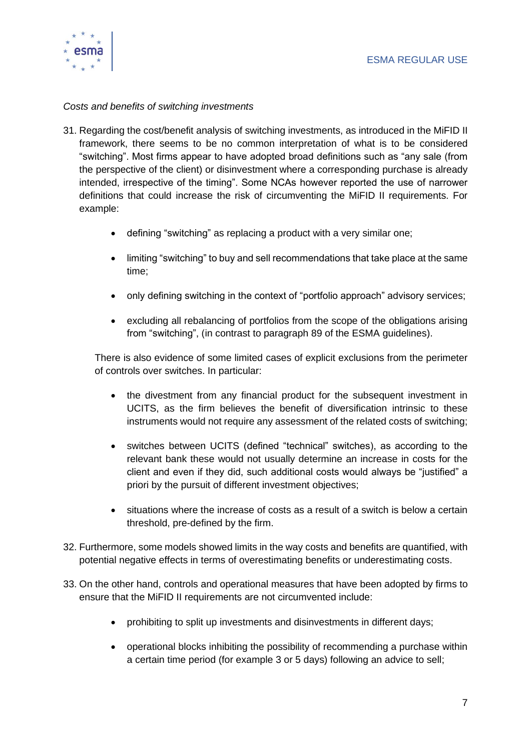

### *Costs and benefits of switching investments*

- 31. Regarding the cost/benefit analysis of switching investments, as introduced in the MiFID II framework, there seems to be no common interpretation of what is to be considered "switching". Most firms appear to have adopted broad definitions such as "any sale (from the perspective of the client) or disinvestment where a corresponding purchase is already intended, irrespective of the timing". Some NCAs however reported the use of narrower definitions that could increase the risk of circumventing the MiFID II requirements. For example:
	- defining "switching" as replacing a product with a very similar one;
	- limiting "switching" to buy and sell recommendations that take place at the same time;
	- only defining switching in the context of "portfolio approach" advisory services;
	- excluding all rebalancing of portfolios from the scope of the obligations arising from "switching", (in contrast to paragraph 89 of the ESMA guidelines).

There is also evidence of some limited cases of explicit exclusions from the perimeter of controls over switches. In particular:

- the divestment from any financial product for the subsequent investment in UCITS, as the firm believes the benefit of diversification intrinsic to these instruments would not require any assessment of the related costs of switching;
- switches between UCITS (defined "technical" switches), as according to the relevant bank these would not usually determine an increase in costs for the client and even if they did, such additional costs would always be "justified" a priori by the pursuit of different investment objectives;
- situations where the increase of costs as a result of a switch is below a certain threshold, pre-defined by the firm.
- 32. Furthermore, some models showed limits in the way costs and benefits are quantified, with potential negative effects in terms of overestimating benefits or underestimating costs.
- 33. On the other hand, controls and operational measures that have been adopted by firms to ensure that the MiFID II requirements are not circumvented include:
	- prohibiting to split up investments and disinvestments in different days;
	- operational blocks inhibiting the possibility of recommending a purchase within a certain time period (for example 3 or 5 days) following an advice to sell;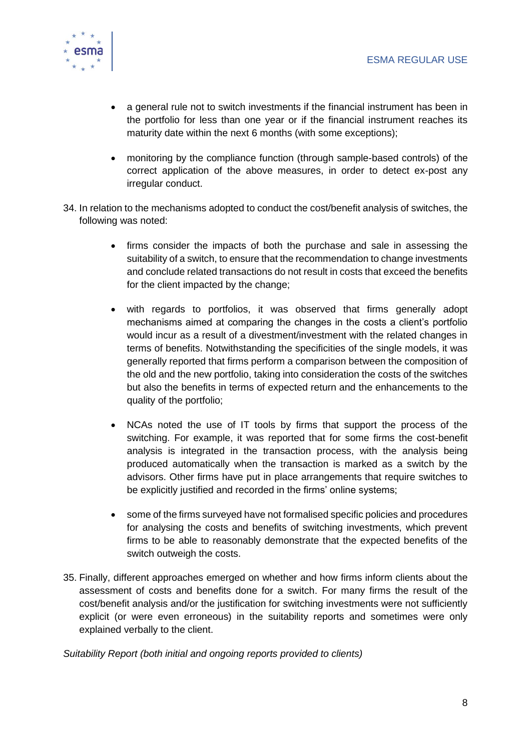

- a general rule not to switch investments if the financial instrument has been in the portfolio for less than one year or if the financial instrument reaches its maturity date within the next 6 months (with some exceptions);
- monitoring by the compliance function (through sample-based controls) of the correct application of the above measures, in order to detect ex-post any irregular conduct.
- 34. In relation to the mechanisms adopted to conduct the cost/benefit analysis of switches, the following was noted:
	- firms consider the impacts of both the purchase and sale in assessing the suitability of a switch, to ensure that the recommendation to change investments and conclude related transactions do not result in costs that exceed the benefits for the client impacted by the change;
	- with regards to portfolios, it was observed that firms generally adopt mechanisms aimed at comparing the changes in the costs a client's portfolio would incur as a result of a divestment/investment with the related changes in terms of benefits. Notwithstanding the specificities of the single models, it was generally reported that firms perform a comparison between the composition of the old and the new portfolio, taking into consideration the costs of the switches but also the benefits in terms of expected return and the enhancements to the quality of the portfolio;
	- NCAs noted the use of IT tools by firms that support the process of the switching. For example, it was reported that for some firms the cost-benefit analysis is integrated in the transaction process, with the analysis being produced automatically when the transaction is marked as a switch by the advisors. Other firms have put in place arrangements that require switches to be explicitly justified and recorded in the firms' online systems;
	- some of the firms surveyed have not formalised specific policies and procedures for analysing the costs and benefits of switching investments, which prevent firms to be able to reasonably demonstrate that the expected benefits of the switch outweigh the costs.
- 35. Finally, different approaches emerged on whether and how firms inform clients about the assessment of costs and benefits done for a switch. For many firms the result of the cost/benefit analysis and/or the justification for switching investments were not sufficiently explicit (or were even erroneous) in the suitability reports and sometimes were only explained verbally to the client.

*Suitability Report (both initial and ongoing reports provided to clients)*